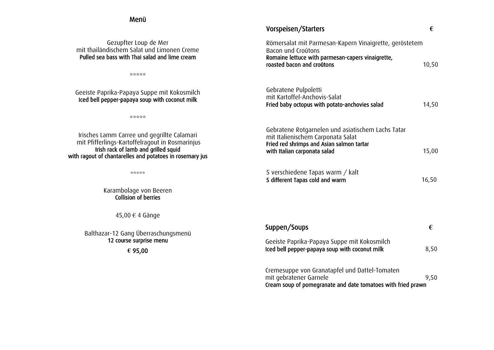## Menü

Gezupfter Loup de Mer mit thailändischem Salat und Limonen Creme Pulled sea bass with Thai salad and lime cream

\*\*\*\*\*

| Geeiste Paprika-Papaya Suppe mit Kokosmilch<br>Iced bell pepper-papaya soup with coconut milk                                                                                                      | Gebratene Pulpoletti<br>mit Kartoffel-Anchovis-Salat<br>Fried baby octopus with potato-anchovies salad                                                              | 14,50 |
|----------------------------------------------------------------------------------------------------------------------------------------------------------------------------------------------------|---------------------------------------------------------------------------------------------------------------------------------------------------------------------|-------|
| eeeee                                                                                                                                                                                              |                                                                                                                                                                     |       |
| Irisches Lamm Carree und gegrillte Calamari<br>mit Pfifferlings-Kartoffelragout in Rosmarinjus<br>Irish rack of lamb and grilled squid<br>with ragout of chantarelles and potatoes in rosemary jus | Gebratene Rotgarnelen und asiatischem Lachs Tatar<br>mit Italienischem Carponata Salat<br>Fried red shrimps and Asian salmon tartar<br>with Italian carponata salad | 15,00 |
| 奇迹奇奇奇                                                                                                                                                                                              | 5 verschiedene Tapas warm / kalt<br>5 different Tapas cold and warm                                                                                                 | 16,50 |
| Karambolage von Beeren<br><b>Collision of berries</b>                                                                                                                                              |                                                                                                                                                                     |       |
| 45,00 € 4 Gänge                                                                                                                                                                                    |                                                                                                                                                                     |       |
| Balthazar-12 Gang Überraschungsmenü                                                                                                                                                                | Suppen/Soups                                                                                                                                                        | €     |
| 12 course surprise menu                                                                                                                                                                            | Geeiste Paprika-Papaya Suppe mit Kokosmilch                                                                                                                         |       |
| € 95,00                                                                                                                                                                                            | Iced bell pepper-papaya soup with coconut milk                                                                                                                      | 8,50  |
|                                                                                                                                                                                                    | Cromesuppo von Cropatantel und Dattel Tempten                                                                                                                       |       |

Cremesuppe von Granatapfel und Dattel-Tomaten mit gebratener Garnele 19,50 Cream soup of pomegranate and date tomatoes with fried prawn

Vorspeisen/Starters **€**

roasted bacon and croûtons  $10,50$ 

Römersalat mit Parmesan-Kapern Vinaigrette, geröstetem

Romaine lettuce with parmesan-capers vinaigrette,

Bacon und Croûtons